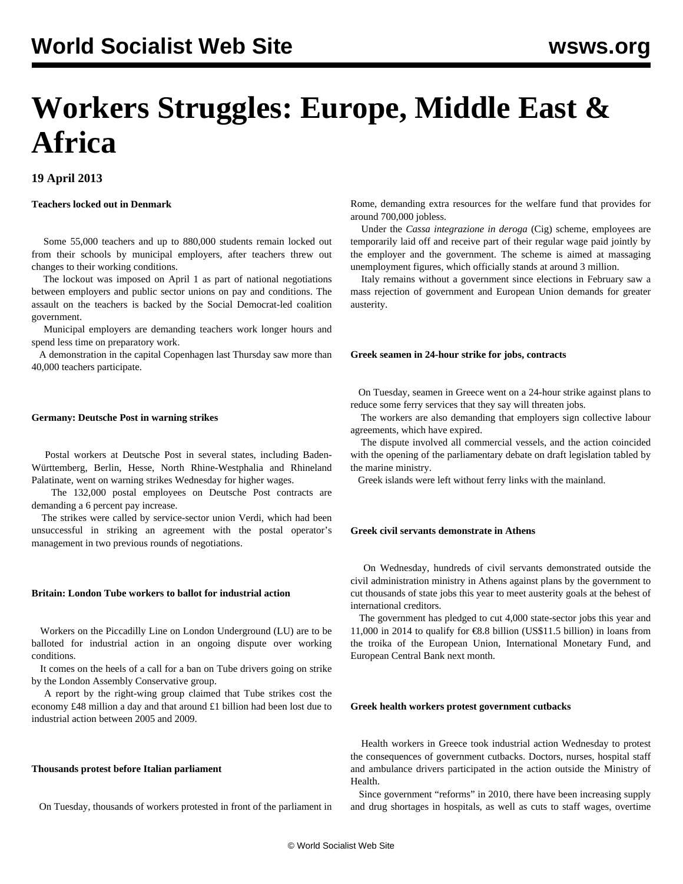# **Workers Struggles: Europe, Middle East & Africa**

## **19 April 2013**

## **Teachers locked out in Denmark**

 Some 55,000 teachers and up to 880,000 students remain locked out from their schools by municipal employers, after teachers threw out changes to their working conditions.

 The lockout was imposed on April 1 as part of national negotiations between employers and public sector unions on pay and conditions. The assault on the teachers is backed by the Social Democrat-led coalition government.

 Municipal employers are demanding teachers work longer hours and spend less time on preparatory work.

 A demonstration in the capital Copenhagen last Thursday saw more than 40,000 teachers participate.

## **Germany: Deutsche Post in warning strikes**

 Postal workers at Deutsche Post in several states, including Baden-Württemberg, Berlin, Hesse, North Rhine-Westphalia and Rhineland Palatinate, went on warning strikes Wednesday for higher wages.

 The 132,000 postal employees on Deutsche Post contracts are demanding a 6 percent pay increase.

 The strikes were called by service-sector union Verdi, which had been unsuccessful in striking an agreement with the postal operator's management in two previous rounds of negotiations.

#### **Britain: London Tube workers to ballot for industrial action**

 Workers on the Piccadilly Line on London Underground (LU) are to be balloted for industrial action in an ongoing dispute over working conditions.

 It comes on the heels of a call for a ban on Tube drivers going on strike by the London Assembly Conservative group.

 A report by the right-wing group claimed that Tube strikes cost the economy £48 million a day and that around £1 billion had been lost due to industrial action between 2005 and 2009.

## **Thousands protest before Italian parliament**

On Tuesday, thousands of workers protested in front of the parliament in

Rome, demanding extra resources for the welfare fund that provides for around 700,000 jobless.

 Under the *Cassa integrazione in deroga* (Cig) scheme, employees are temporarily laid off and receive part of their regular wage paid jointly by the employer and the government. The scheme is aimed at massaging unemployment figures, which officially stands at around 3 million.

 Italy remains without a government since elections in February saw a mass rejection of government and European Union demands for greater austerity.

## **Greek seamen in 24-hour strike for jobs, contracts**

 On Tuesday, seamen in Greece went on a 24-hour strike against plans to reduce some ferry services that they say will threaten jobs.

 The workers are also demanding that employers sign collective labour agreements, which have expired.

 The dispute involved all commercial vessels, and the action coincided with the opening of the parliamentary debate on draft legislation tabled by the marine ministry.

Greek islands were left without ferry links with the mainland.

## **Greek civil servants demonstrate in Athens**

 On Wednesday, hundreds of civil servants demonstrated outside the civil administration ministry in Athens against plans by the government to cut thousands of state jobs this year to meet austerity goals at the behest of international creditors.

 The government has pledged to cut 4,000 state-sector jobs this year and 11,000 in 2014 to qualify for €8.8 billion (US\$11.5 billion) in loans from the troika of the European Union, International Monetary Fund, and European Central Bank next month.

## **Greek health workers protest government cutbacks**

 Health workers in Greece took industrial action Wednesday to protest the consequences of government cutbacks. Doctors, nurses, hospital staff and ambulance drivers participated in the action outside the Ministry of Health.

 Since government "reforms" in 2010, there have been increasing supply and drug shortages in hospitals, as well as cuts to staff wages, overtime